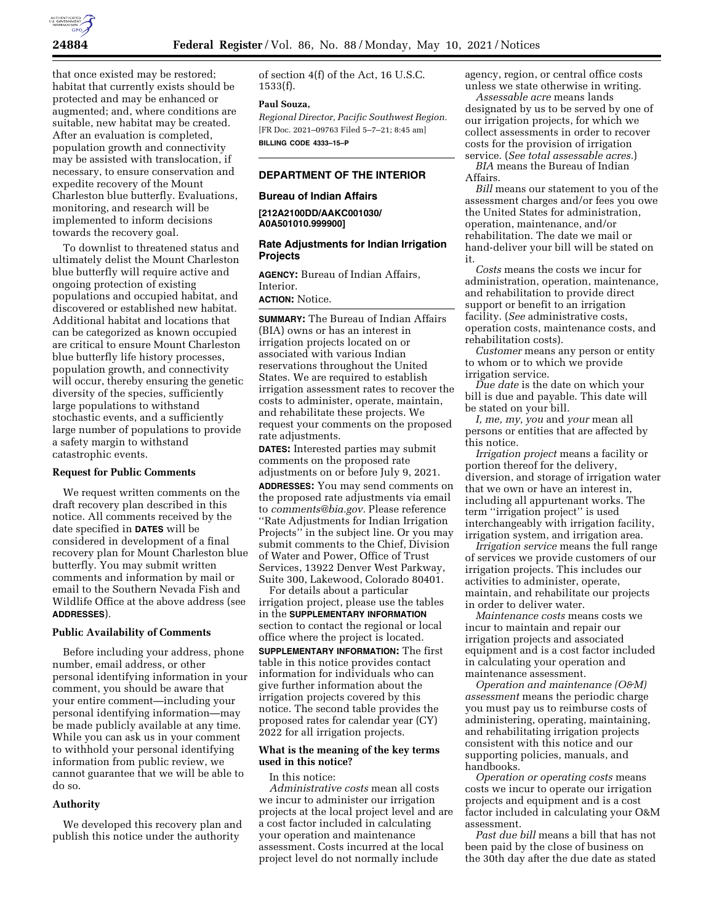

that once existed may be restored; habitat that currently exists should be protected and may be enhanced or augmented; and, where conditions are suitable, new habitat may be created. After an evaluation is completed, population growth and connectivity may be assisted with translocation, if necessary, to ensure conservation and expedite recovery of the Mount Charleston blue butterfly. Evaluations, monitoring, and research will be implemented to inform decisions towards the recovery goal.

To downlist to threatened status and ultimately delist the Mount Charleston blue butterfly will require active and ongoing protection of existing populations and occupied habitat, and discovered or established new habitat. Additional habitat and locations that can be categorized as known occupied are critical to ensure Mount Charleston blue butterfly life history processes, population growth, and connectivity will occur, thereby ensuring the genetic diversity of the species, sufficiently large populations to withstand stochastic events, and a sufficiently large number of populations to provide a safety margin to withstand catastrophic events.

#### **Request for Public Comments**

We request written comments on the draft recovery plan described in this notice. All comments received by the date specified in **DATES** will be considered in development of a final recovery plan for Mount Charleston blue butterfly. You may submit written comments and information by mail or email to the Southern Nevada Fish and Wildlife Office at the above address (see **ADDRESSES**).

#### **Public Availability of Comments**

Before including your address, phone number, email address, or other personal identifying information in your comment, you should be aware that your entire comment—including your personal identifying information—may be made publicly available at any time. While you can ask us in your comment to withhold your personal identifying information from public review, we cannot guarantee that we will be able to do so.

## **Authority**

We developed this recovery plan and publish this notice under the authority

of section 4(f) of the Act, 16 U.S.C. 1533(f).

## **Paul Souza,**

*Regional Director, Pacific Southwest Region.*  [FR Doc. 2021–09763 Filed 5–7–21; 8:45 am] **BILLING CODE 4333–15–P** 

## **DEPARTMENT OF THE INTERIOR**

#### **Bureau of Indian Affairs**

**[212A2100DD/AAKC001030/ A0A501010.999900]** 

### **Rate Adjustments for Indian Irrigation Projects**

**AGENCY:** Bureau of Indian Affairs, Interior.

# **ACTION:** Notice.

**SUMMARY:** The Bureau of Indian Affairs (BIA) owns or has an interest in irrigation projects located on or associated with various Indian reservations throughout the United States. We are required to establish irrigation assessment rates to recover the costs to administer, operate, maintain, and rehabilitate these projects. We request your comments on the proposed rate adjustments.

**DATES:** Interested parties may submit comments on the proposed rate adjustments on or before July 9, 2021. **ADDRESSES:** You may send comments on the proposed rate adjustments via email to *[comments@bia.gov.](mailto:comments@bia.gov)* Please reference ''Rate Adjustments for Indian Irrigation Projects'' in the subject line. Or you may submit comments to the Chief, Division of Water and Power, Office of Trust Services, 13922 Denver West Parkway, Suite 300, Lakewood, Colorado 80401.

For details about a particular irrigation project, please use the tables in the **SUPPLEMENTARY INFORMATION** section to contact the regional or local office where the project is located.

**SUPPLEMENTARY INFORMATION:** The first table in this notice provides contact information for individuals who can give further information about the irrigation projects covered by this notice. The second table provides the proposed rates for calendar year (CY) 2022 for all irrigation projects.

### **What is the meaning of the key terms used in this notice?**

#### In this notice:

*Administrative costs* mean all costs we incur to administer our irrigation projects at the local project level and are a cost factor included in calculating your operation and maintenance assessment. Costs incurred at the local project level do not normally include

agency, region, or central office costs unless we state otherwise in writing.

*Assessable acre* means lands designated by us to be served by one of our irrigation projects, for which we collect assessments in order to recover costs for the provision of irrigation service. (*See total assessable acres.*)

*BIA* means the Bureau of Indian Affairs.

*Bill* means our statement to you of the assessment charges and/or fees you owe the United States for administration, operation, maintenance, and/or rehabilitation. The date we mail or hand-deliver your bill will be stated on it.

*Costs* means the costs we incur for administration, operation, maintenance, and rehabilitation to provide direct support or benefit to an irrigation facility. (*See* administrative costs, operation costs, maintenance costs, and rehabilitation costs).

*Customer* means any person or entity to whom or to which we provide irrigation service.

*Due date* is the date on which your bill is due and payable. This date will be stated on your bill.

*I, me, my, you* and *your* mean all persons or entities that are affected by this notice.

*Irrigation project* means a facility or portion thereof for the delivery, diversion, and storage of irrigation water that we own or have an interest in, including all appurtenant works. The term ''irrigation project'' is used interchangeably with irrigation facility, irrigation system, and irrigation area.

*Irrigation service* means the full range of services we provide customers of our irrigation projects. This includes our activities to administer, operate, maintain, and rehabilitate our projects in order to deliver water.

*Maintenance costs* means costs we incur to maintain and repair our irrigation projects and associated equipment and is a cost factor included in calculating your operation and maintenance assessment.

*Operation and maintenance (O&M) assessment* means the periodic charge you must pay us to reimburse costs of administering, operating, maintaining, and rehabilitating irrigation projects consistent with this notice and our supporting policies, manuals, and handbooks.

*Operation or operating costs* means costs we incur to operate our irrigation projects and equipment and is a cost factor included in calculating your O&M assessment.

*Past due bill* means a bill that has not been paid by the close of business on the 30th day after the due date as stated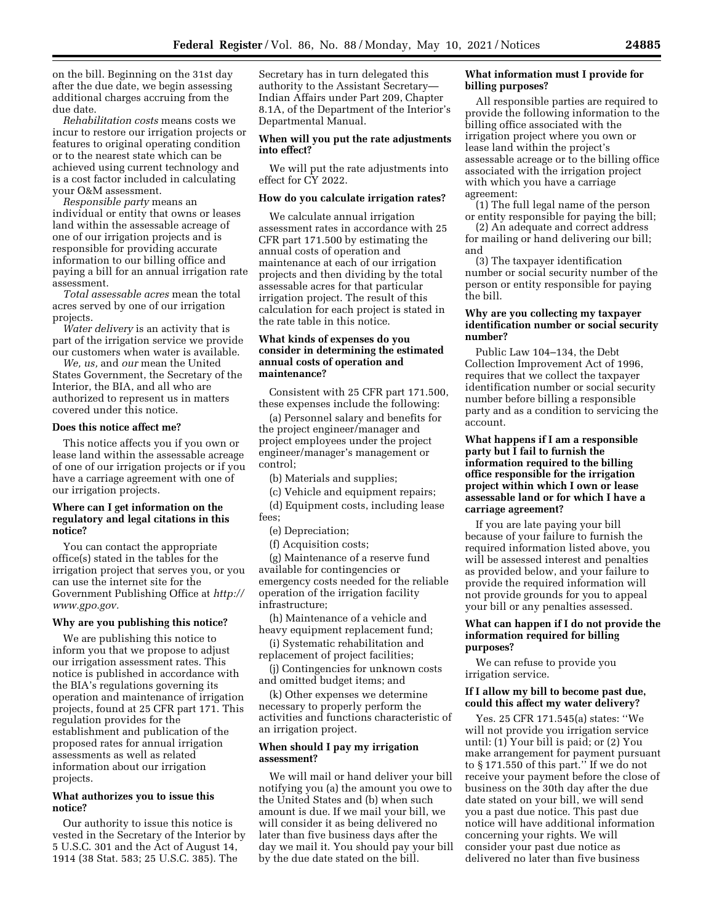on the bill. Beginning on the 31st day after the due date, we begin assessing additional charges accruing from the due date.

*Rehabilitation costs* means costs we incur to restore our irrigation projects or features to original operating condition or to the nearest state which can be achieved using current technology and is a cost factor included in calculating your O&M assessment.

*Responsible party* means an individual or entity that owns or leases land within the assessable acreage of one of our irrigation projects and is responsible for providing accurate information to our billing office and paying a bill for an annual irrigation rate assessment.

*Total assessable acres* mean the total acres served by one of our irrigation projects.

*Water delivery* is an activity that is part of the irrigation service we provide our customers when water is available.

*We, us,* and *our* mean the United States Government, the Secretary of the Interior, the BIA, and all who are authorized to represent us in matters covered under this notice.

### **Does this notice affect me?**

This notice affects you if you own or lease land within the assessable acreage of one of our irrigation projects or if you have a carriage agreement with one of our irrigation projects.

## **Where can I get information on the regulatory and legal citations in this notice?**

You can contact the appropriate office(s) stated in the tables for the irrigation project that serves you, or you can use the internet site for the Government Publishing Office at *[http://](http://www.gpo.gov) [www.gpo.gov.](http://www.gpo.gov)* 

#### **Why are you publishing this notice?**

We are publishing this notice to inform you that we propose to adjust our irrigation assessment rates. This notice is published in accordance with the BIA's regulations governing its operation and maintenance of irrigation projects, found at 25 CFR part 171. This regulation provides for the establishment and publication of the proposed rates for annual irrigation assessments as well as related information about our irrigation projects.

### **What authorizes you to issue this notice?**

Our authority to issue this notice is vested in the Secretary of the Interior by 5 U.S.C. 301 and the Act of August 14, 1914 (38 Stat. 583; 25 U.S.C. 385). The

Secretary has in turn delegated this authority to the Assistant Secretary— Indian Affairs under Part 209, Chapter 8.1A, of the Department of the Interior's Departmental Manual.

## **When will you put the rate adjustments into effect?**

We will put the rate adjustments into effect for CY 2022.

## **How do you calculate irrigation rates?**

We calculate annual irrigation assessment rates in accordance with 25 CFR part 171.500 by estimating the annual costs of operation and maintenance at each of our irrigation projects and then dividing by the total assessable acres for that particular irrigation project. The result of this calculation for each project is stated in the rate table in this notice.

## **What kinds of expenses do you consider in determining the estimated annual costs of operation and maintenance?**

Consistent with 25 CFR part 171.500, these expenses include the following:

(a) Personnel salary and benefits for the project engineer/manager and project employees under the project engineer/manager's management or control;

(b) Materials and supplies;

(c) Vehicle and equipment repairs; (d) Equipment costs, including lease fees;

(e) Depreciation;

(f) Acquisition costs;

(g) Maintenance of a reserve fund available for contingencies or emergency costs needed for the reliable operation of the irrigation facility infrastructure;

(h) Maintenance of a vehicle and heavy equipment replacement fund;

(i) Systematic rehabilitation and replacement of project facilities;

(j) Contingencies for unknown costs and omitted budget items; and

(k) Other expenses we determine necessary to properly perform the activities and functions characteristic of an irrigation project.

#### **When should I pay my irrigation assessment?**

We will mail or hand deliver your bill notifying you (a) the amount you owe to the United States and (b) when such amount is due. If we mail your bill, we will consider it as being delivered no later than five business days after the day we mail it. You should pay your bill by the due date stated on the bill.

### **What information must I provide for billing purposes?**

All responsible parties are required to provide the following information to the billing office associated with the irrigation project where you own or lease land within the project's assessable acreage or to the billing office associated with the irrigation project with which you have a carriage agreement:

(1) The full legal name of the person or entity responsible for paying the bill;

(2) An adequate and correct address for mailing or hand delivering our bill; and

(3) The taxpayer identification number or social security number of the person or entity responsible for paying the bill.

## **Why are you collecting my taxpayer identification number or social security number?**

Public Law 104–134, the Debt Collection Improvement Act of 1996, requires that we collect the taxpayer identification number or social security number before billing a responsible party and as a condition to servicing the account.

## **What happens if I am a responsible party but I fail to furnish the information required to the billing office responsible for the irrigation project within which I own or lease assessable land or for which I have a carriage agreement?**

If you are late paying your bill because of your failure to furnish the required information listed above, you will be assessed interest and penalties as provided below, and your failure to provide the required information will not provide grounds for you to appeal your bill or any penalties assessed.

### **What can happen if I do not provide the information required for billing purposes?**

We can refuse to provide you irrigation service.

## **If I allow my bill to become past due, could this affect my water delivery?**

Yes. 25 CFR 171.545(a) states: ''We will not provide you irrigation service until: (1) Your bill is paid; or (2) You make arrangement for payment pursuant to § 171.550 of this part.'' If we do not receive your payment before the close of business on the 30th day after the due date stated on your bill, we will send you a past due notice. This past due notice will have additional information concerning your rights. We will consider your past due notice as delivered no later than five business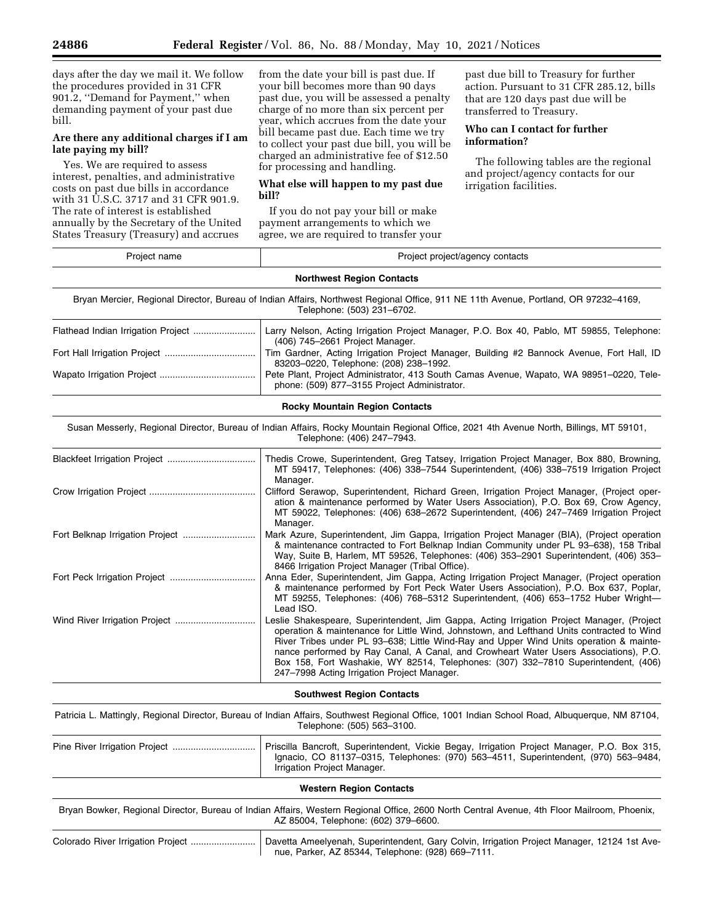days after the day we mail it. We follow the procedures provided in 31 CFR 901.2, ''Demand for Payment,'' when demanding payment of your past due bill.

## **Are there any additional charges if I am late paying my bill?**

Yes. We are required to assess interest, penalties, and administrative costs on past due bills in accordance with 31 U.S.C. 3717 and 31 CFR 901.9. The rate of interest is established annually by the Secretary of the United States Treasury (Treasury) and accrues

from the date your bill is past due. If your bill becomes more than 90 days past due, you will be assessed a penalty charge of no more than six percent per year, which accrues from the date your bill became past due. Each time we try to collect your past due bill, you will be charged an administrative fee of \$12.50 for processing and handling.

## **What else will happen to my past due bill?**

If you do not pay your bill or make payment arrangements to which we agree, we are required to transfer your

past due bill to Treasury for further action. Pursuant to 31 CFR 285.12, bills that are 120 days past due will be transferred to Treasury.

## **Who can I contact for further information?**

The following tables are the regional and project/agency contacts for our irrigation facilities.

| Project name                       | Project project/agency contacts                                                                                                                                                                                                                                                                                                                                                                                                                                                                                |
|------------------------------------|----------------------------------------------------------------------------------------------------------------------------------------------------------------------------------------------------------------------------------------------------------------------------------------------------------------------------------------------------------------------------------------------------------------------------------------------------------------------------------------------------------------|
|                                    | <b>Northwest Region Contacts</b>                                                                                                                                                                                                                                                                                                                                                                                                                                                                               |
|                                    | Bryan Mercier, Regional Director, Bureau of Indian Affairs, Northwest Regional Office, 911 NE 11th Avenue, Portland, OR 97232–4169,<br>Telephone: (503) 231-6702.                                                                                                                                                                                                                                                                                                                                              |
| Flathead Indian Irrigation Project | Larry Nelson, Acting Irrigation Project Manager, P.O. Box 40, Pablo, MT 59855, Telephone:<br>(406) 745-2661 Project Manager.                                                                                                                                                                                                                                                                                                                                                                                   |
|                                    | Tim Gardner, Acting Irrigation Project Manager, Building #2 Bannock Avenue, Fort Hall, ID<br>83203-0220, Telephone: (208) 238-1992.                                                                                                                                                                                                                                                                                                                                                                            |
|                                    | Pete Plant, Project Administrator, 413 South Camas Avenue, Wapato, WA 98951-0220, Tele-<br>phone: (509) 877-3155 Project Administrator.                                                                                                                                                                                                                                                                                                                                                                        |
|                                    | <b>Rocky Mountain Region Contacts</b>                                                                                                                                                                                                                                                                                                                                                                                                                                                                          |
|                                    | Susan Messerly, Regional Director, Bureau of Indian Affairs, Rocky Mountain Regional Office, 2021 4th Avenue North, Billings, MT 59101,<br>Telephone: (406) 247-7943.                                                                                                                                                                                                                                                                                                                                          |
|                                    | Thedis Crowe, Superintendent, Greg Tatsey, Irrigation Project Manager, Box 880, Browning,<br>MT 59417, Telephones: (406) 338–7544 Superintendent, (406) 338–7519 Irrigation Project<br>Manager.                                                                                                                                                                                                                                                                                                                |
|                                    | Clifford Serawop, Superintendent, Richard Green, Irrigation Project Manager, (Project oper-<br>ation & maintenance performed by Water Users Association), P.O. Box 69, Crow Agency,<br>MT 59022, Telephones: (406) 638-2672 Superintendent, (406) 247-7469 Irrigation Project<br>Manager.                                                                                                                                                                                                                      |
|                                    | Mark Azure, Superintendent, Jim Gappa, Irrigation Project Manager (BIA), (Project operation<br>& maintenance contracted to Fort Belknap Indian Community under PL 93–638), 158 Tribal<br>Way, Suite B, Harlem, MT 59526, Telephones: (406) 353-2901 Superintendent, (406) 353-<br>8466 Irrigation Project Manager (Tribal Office).                                                                                                                                                                             |
|                                    | Anna Eder, Superintendent, Jim Gappa, Acting Irrigation Project Manager, (Project operation<br>& maintenance performed by Fort Peck Water Users Association), P.O. Box 637, Poplar,<br>MT 59255, Telephones: (406) 768–5312 Superintendent, (406) 653–1752 Huber Wright-<br>Lead ISO.                                                                                                                                                                                                                          |
| Wind River Irrigation Project      | Leslie Shakespeare, Superintendent, Jim Gappa, Acting Irrigation Project Manager, (Project<br>operation & maintenance for Little Wind, Johnstown, and Lefthand Units contracted to Wind<br>River Tribes under PL 93-638; Little Wind-Ray and Upper Wind Units operation & mainte-<br>nance performed by Ray Canal, A Canal, and Crowheart Water Users Associations), P.O.<br>Box 158, Fort Washakie, WY 82514, Telephones: (307) 332-7810 Superintendent, (406)<br>247-7998 Acting Irrigation Project Manager. |
|                                    | <b>Southwest Region Contacts</b>                                                                                                                                                                                                                                                                                                                                                                                                                                                                               |
|                                    | Patricia L. Mattingly, Regional Director, Bureau of Indian Affairs, Southwest Regional Office, 1001 Indian School Road, Albuquerque, NM 87104,<br>Telephone: (505) 563-3100.                                                                                                                                                                                                                                                                                                                                   |
|                                    | Priscilla Bancroft, Superintendent, Vickie Begay, Irrigation Project Manager, P.O. Box 315,<br>Ignacio, CO 81137-0315, Telephones: (970) 563-4511, Superintendent, (970) 563-9484,<br>Irrigation Project Manager.                                                                                                                                                                                                                                                                                              |
|                                    | <b>Western Region Contacts</b>                                                                                                                                                                                                                                                                                                                                                                                                                                                                                 |
|                                    | Bryan Bowker, Regional Director, Bureau of Indian Affairs, Western Regional Office, 2600 North Central Avenue, 4th Floor Mailroom, Phoenix,<br>AZ 85004, Telephone: (602) 379-6600.                                                                                                                                                                                                                                                                                                                            |
|                                    | Davetta Ameelyenah, Superintendent, Gary Colvin, Irrigation Project Manager, 12124 1st Ave-                                                                                                                                                                                                                                                                                                                                                                                                                    |

nue, Parker, AZ 85344, Telephone: (928) 669–7111.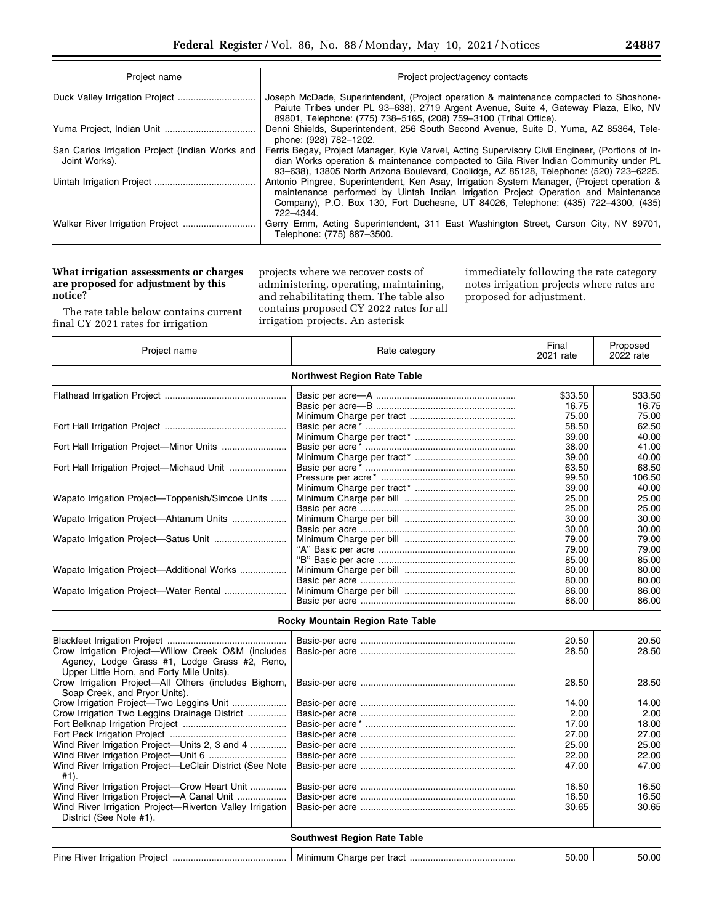| Project name                                                     | Project project/agency contacts                                                                                                                                                                                                                                                     |
|------------------------------------------------------------------|-------------------------------------------------------------------------------------------------------------------------------------------------------------------------------------------------------------------------------------------------------------------------------------|
|                                                                  | Joseph McDade, Superintendent, (Project operation & maintenance compacted to Shoshone-<br>Paiute Tribes under PL 93-638), 2719 Argent Avenue, Suite 4, Gateway Plaza, Elko, NV<br>89801, Telephone: (775) 738-5165, (208) 759-3100 (Tribal Office).                                 |
|                                                                  | Denni Shields, Superintendent, 256 South Second Avenue, Suite D, Yuma, AZ 85364, Tele-<br>phone: (928) 782-1202.                                                                                                                                                                    |
| San Carlos Irrigation Project (Indian Works and<br>Joint Works). | Ferris Begay, Project Manager, Kyle Varvel, Acting Supervisory Civil Engineer, (Portions of In-<br>dian Works operation & maintenance compacted to Gila River Indian Community under PL<br>93-638), 13805 North Arizona Boulevard, Coolidge, AZ 85128, Telephone: (520) 723-6225.   |
|                                                                  | Antonio Pingree, Superintendent, Ken Asay, Irrigation System Manager, (Project operation &<br>maintenance performed by Uintah Indian Irrigation Project Operation and Maintenance<br>Company), P.O. Box 130, Fort Duchesne, UT 84026, Telephone: (435) 722-4300, (435)<br>722-4344. |
|                                                                  | Gerry Emm, Acting Superintendent, 311 East Washington Street, Carson City, NV 89701,<br>Telephone: (775) 887-3500.                                                                                                                                                                  |

## **What irrigation assessments or charges are proposed for adjustment by this notice?**

The rate table below contains current final CY 2021 rates for irrigation

projects where we recover costs of administering, operating, maintaining, and rehabilitating them. The table also contains proposed CY 2022 rates for all irrigation projects. An asterisk

immediately following the rate category notes irrigation projects where rates are proposed for adjustment.

| Project name                                     | Rate category                      | Final<br>2021 rate | Proposed<br>2022 rate |
|--------------------------------------------------|------------------------------------|--------------------|-----------------------|
|                                                  | <b>Northwest Region Rate Table</b> |                    |                       |
|                                                  |                                    | \$33.50            | \$33.50               |
|                                                  |                                    | 16.75              | 16.75                 |
|                                                  |                                    | 75.00              | 75.00                 |
|                                                  |                                    | 58.50              | 62.50                 |
|                                                  |                                    | 39.00              | 40.00                 |
|                                                  |                                    | 38.00              | 41.00                 |
|                                                  |                                    | 39.00              | 40.00                 |
|                                                  |                                    | 63.50              | 68.50                 |
|                                                  |                                    | 99.50              | 106.50                |
|                                                  |                                    | 39.00              | 40.00                 |
| Wapato Irrigation Project—Toppenish/Simcoe Units |                                    | 25.00              | 25.00                 |
|                                                  |                                    | 25.00              | 25.00                 |
| Wapato Irrigation Project—Ahtanum Units          |                                    | 30.00              | 30.00                 |
|                                                  |                                    | 30.00              | 30.00                 |
|                                                  |                                    | 79.00              | 79.00                 |
|                                                  |                                    | 79.00              | 79.00                 |
|                                                  |                                    | 85.00              | 85.00                 |
| Wapato Irrigation Project—Additional Works       |                                    | 80.00              | 80.00                 |
|                                                  |                                    | 80.00              | 80.00                 |
|                                                  |                                    | 86.00              | 86.00                 |
|                                                  |                                    | 86.00              | 86.00                 |

## **Rocky Mountain Region Rate Table**

| Crow Irrigation Project-Willow Creek O&M (includes                                         |  | 20.50<br>28.50 | 20.50<br>28.50 |  |
|--------------------------------------------------------------------------------------------|--|----------------|----------------|--|
| Agency, Lodge Grass #1, Lodge Grass #2, Reno,<br>Upper Little Horn, and Forty Mile Units). |  |                |                |  |
| Crow Irrigation Project-All Others (includes Bighorn,                                      |  | 28.50          | 28.50          |  |
| Soap Creek, and Prvor Units).                                                              |  |                |                |  |
|                                                                                            |  | 14.00          | 14.00          |  |
| Crow Irrigation Two Leggins Drainage District                                              |  | 2.00           | 2.00           |  |
|                                                                                            |  | 17.00          | 18.00          |  |
|                                                                                            |  | 27.00          | 27.00          |  |
| Wind River Irrigation Project—Units 2, 3 and 4                                             |  | 25.00          | 25.00          |  |
|                                                                                            |  | 22.00          | 22.00          |  |
| Wind River Irrigation Project—LeClair District (See Note<br>#1).                           |  | 47.00          | 47.00          |  |
| Wind River Irrigation Project—Crow Heart Unit                                              |  | 16.50          | 16.50          |  |
| Wind River Irrigation Project-A Canal Unit                                                 |  | 16.50          | 16.50          |  |
| Wind River Irrigation Project-Riverton Valley Irrigation<br>District (See Note #1).        |  | 30.65          | 30.65          |  |
| <b>Southwest Region Rate Table</b>                                                         |  |                |                |  |

| Pine River Irrigation<br>Project | Charge per tract<br>Minimum | 50.00 | 0.00د |
|----------------------------------|-----------------------------|-------|-------|
|----------------------------------|-----------------------------|-------|-------|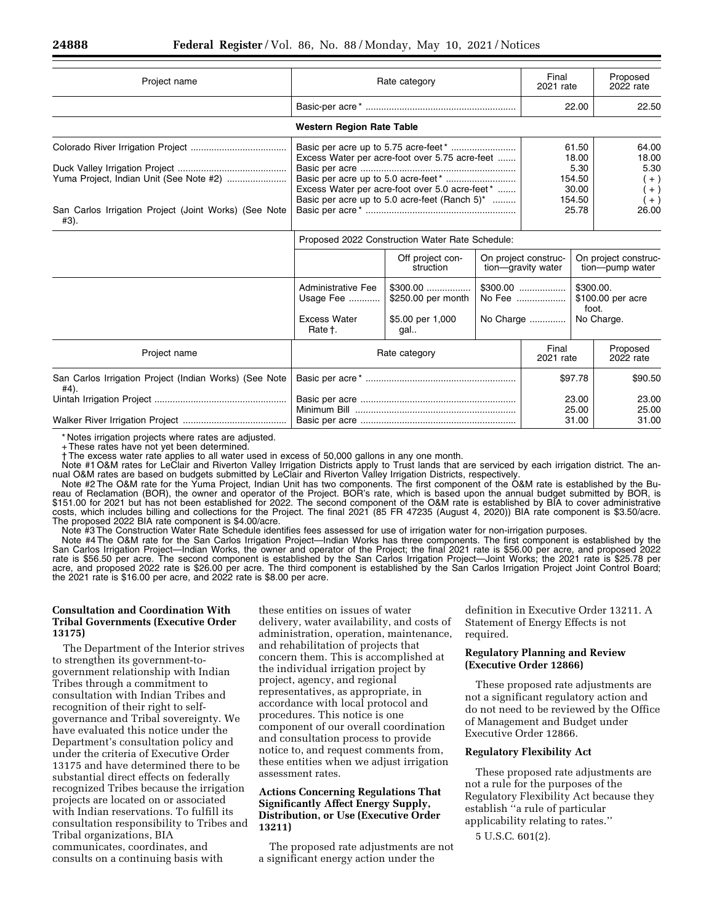| Project name                                                                                             | Rate category                                                            |                                                                                                                                                      |                    | Final<br>2021 rate                                                                        |                                                              | Proposed<br>2022 rate                                      |
|----------------------------------------------------------------------------------------------------------|--------------------------------------------------------------------------|------------------------------------------------------------------------------------------------------------------------------------------------------|--------------------|-------------------------------------------------------------------------------------------|--------------------------------------------------------------|------------------------------------------------------------|
|                                                                                                          |                                                                          |                                                                                                                                                      |                    |                                                                                           | 22.00                                                        | 22.50                                                      |
|                                                                                                          | <b>Western Region Rate Table</b>                                         |                                                                                                                                                      |                    |                                                                                           |                                                              |                                                            |
| Yuma Project, Indian Unit (See Note #2)<br>San Carlos Irrigation Project (Joint Works) (See Note<br>#3). |                                                                          | Excess Water per acre-foot over 5.75 acre-feet<br>Excess Water per acre-foot over 5.0 acre-feet*<br>Basic per acre up to 5.0 acre-feet (Ranch $5$ )* |                    |                                                                                           | 61.50<br>18.00<br>5.30<br>154.50<br>30.00<br>154.50<br>25.78 | 64.00<br>18.00<br>5.30<br>$(+)$<br>$+ )$<br>$+$ )<br>26.00 |
|                                                                                                          | Proposed 2022 Construction Water Rate Schedule:                          |                                                                                                                                                      |                    |                                                                                           |                                                              |                                                            |
|                                                                                                          |                                                                          | Off project con-<br>struction                                                                                                                        |                    | On project construc-<br>tion-gravity water                                                |                                                              | On project construc-<br>tion--pump water                   |
|                                                                                                          | <b>Administrative Fee</b><br>Usage Fee<br><b>Excess Water</b><br>Rate t. | $$300.00$<br>\$250.00 per month<br>\$5.00 per 1,000<br>gal.                                                                                          |                    | $$300.00$<br>\$300.00.<br>\$100.00 per acre<br>No Fee<br>foot.<br>No Charge<br>No Charge. |                                                              |                                                            |
| Project name                                                                                             |                                                                          | Rate category                                                                                                                                        | Final<br>2021 rate |                                                                                           | Proposed<br>2022 rate                                        |                                                            |
| San Carlos Irrigation Project (Indian Works) (See Note<br>#4).                                           |                                                                          |                                                                                                                                                      |                    | \$97.78                                                                                   |                                                              | \$90.50                                                    |
|                                                                                                          |                                                                          |                                                                                                                                                      |                    |                                                                                           | 23.00<br>25.00<br>31.00                                      | 23.00<br>25.00<br>31.00                                    |

\* Notes irrigation projects where rates are adjusted.

+ These rates have not yet been determined.

† The excess water rate applies to all water used in excess of 50,000 gallons in any one month.

Note #1 O&M rates for LeClair and Riverton Valley Irrigation Districts apply to Trust lands that are serviced by each irrigation district. The annual O&M rates are based on budgets submitted by LeClair and Riverton Valley Irrigation Districts, respectively.

Note #2 The O&M rate for the Yuma Project, Indian Unit has two components. The first component of the O&M rate is established by the Bureau of Reclamation (BOR), the owner and operator of the Project. BOR's rate, which is based upon the annual budget submitted by BOR, is \$151.00 for 2021 but has not been established for 2022. The second component of the O&M rate is established by BIA to cover administrative costs, which includes billing and collections for the Project. The final 2021 (85 FR 47235 (August 4, 2020)) BIA rate component is \$3.50/acre. The proposed 2022 BIA rate component is \$4.00/acre.

Note #3 The Construction Water Rate Schedule identifies fees assessed for use of irrigation water for non-irrigation purposes.

Note #4 The O&M rate for the San Carlos Irrigation Project—Indian Works has three components. The first component is established by the San Carlos Irrigation Project—Indian Works, the owner and operator of the Project; the final 2021 rate is \$56.00 per acre, and proposed 2022 rate is \$56.50 per acre. The second component is established by the San Carlos Irrigation Project—Joint Works; the 2021 rate is \$25.78 per acre, and proposed 2022 rate is \$26.00 per acre. The third component is established by the San Carlos Irrigation Project Joint Control Board; the 2021 rate is \$16.00 per acre, and 2022 rate is \$8.00 per acre.

## **Consultation and Coordination With Tribal Governments (Executive Order 13175)**

The Department of the Interior strives to strengthen its government-togovernment relationship with Indian Tribes through a commitment to consultation with Indian Tribes and recognition of their right to selfgovernance and Tribal sovereignty. We have evaluated this notice under the Department's consultation policy and under the criteria of Executive Order 13175 and have determined there to be substantial direct effects on federally recognized Tribes because the irrigation projects are located on or associated with Indian reservations. To fulfill its consultation responsibility to Tribes and Tribal organizations, BIA communicates, coordinates, and consults on a continuing basis with

these entities on issues of water delivery, water availability, and costs of administration, operation, maintenance, and rehabilitation of projects that concern them. This is accomplished at the individual irrigation project by project, agency, and regional representatives, as appropriate, in accordance with local protocol and procedures. This notice is one component of our overall coordination and consultation process to provide notice to, and request comments from, these entities when we adjust irrigation assessment rates.

## **Actions Concerning Regulations That Significantly Affect Energy Supply, Distribution, or Use (Executive Order 13211)**

The proposed rate adjustments are not a significant energy action under the

definition in Executive Order 13211. A Statement of Energy Effects is not required.

## **Regulatory Planning and Review (Executive Order 12866)**

These proposed rate adjustments are not a significant regulatory action and do not need to be reviewed by the Office of Management and Budget under Executive Order 12866.

### **Regulatory Flexibility Act**

These proposed rate adjustments are not a rule for the purposes of the Regulatory Flexibility Act because they establish ''a rule of particular applicability relating to rates.''

5 U.S.C. 601(2).